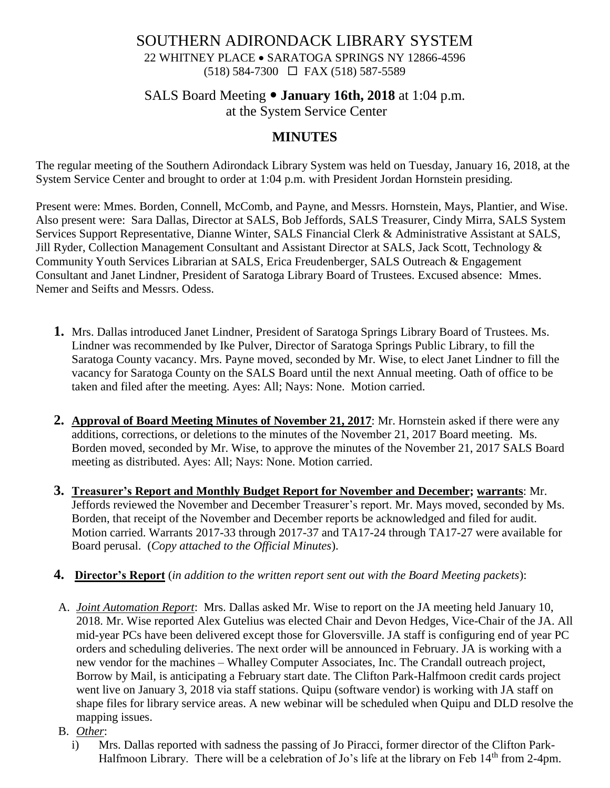## SOUTHERN ADIRONDACK LIBRARY SYSTEM 22 WHITNEY PLACE • SARATOGA SPRINGS NY 12866-4596 (518) 584-7300 FAX (518) 587-5589

# SALS Board Meeting **January 16th, 2018** at 1:04 p.m. at the System Service Center

# **MINUTES**

The regular meeting of the Southern Adirondack Library System was held on Tuesday, January 16, 2018, at the System Service Center and brought to order at 1:04 p.m. with President Jordan Hornstein presiding.

Present were: Mmes. Borden, Connell, McComb, and Payne, and Messrs. Hornstein, Mays, Plantier, and Wise. Also present were: Sara Dallas, Director at SALS, Bob Jeffords, SALS Treasurer, Cindy Mirra, SALS System Services Support Representative, Dianne Winter, SALS Financial Clerk & Administrative Assistant at SALS, Jill Ryder, Collection Management Consultant and Assistant Director at SALS, Jack Scott, Technology & Community Youth Services Librarian at SALS, Erica Freudenberger, SALS Outreach & Engagement Consultant and Janet Lindner, President of Saratoga Library Board of Trustees. Excused absence: Mmes. Nemer and Seifts and Messrs. Odess.

- **1.** Mrs. Dallas introduced Janet Lindner, President of Saratoga Springs Library Board of Trustees. Ms. Lindner was recommended by Ike Pulver, Director of Saratoga Springs Public Library, to fill the Saratoga County vacancy. Mrs. Payne moved, seconded by Mr. Wise, to elect Janet Lindner to fill the vacancy for Saratoga County on the SALS Board until the next Annual meeting. Oath of office to be taken and filed after the meeting. Ayes: All; Nays: None. Motion carried.
- **2. Approval of Board Meeting Minutes of November 21, 2017**: Mr. Hornstein asked if there were any additions, corrections, or deletions to the minutes of the November 21, 2017 Board meeting. Ms. Borden moved, seconded by Mr. Wise, to approve the minutes of the November 21, 2017 SALS Board meeting as distributed. Ayes: All; Nays: None. Motion carried.
- **3. Treasurer's Report and Monthly Budget Report for November and December; warrants**: Mr. Jeffords reviewed the November and December Treasurer's report. Mr. Mays moved, seconded by Ms. Borden, that receipt of the November and December reports be acknowledged and filed for audit. Motion carried. Warrants 2017-33 through 2017-37 and TA17-24 through TA17-27 were available for Board perusal. (*Copy attached to the Official Minutes*).
- **4. Director's Report** (*in addition to the written report sent out with the Board Meeting packets*):
- A. *Joint Automation Report*: Mrs. Dallas asked Mr. Wise to report on the JA meeting held January 10, 2018. Mr. Wise reported Alex Gutelius was elected Chair and Devon Hedges, Vice-Chair of the JA. All mid-year PCs have been delivered except those for Gloversville. JA staff is configuring end of year PC orders and scheduling deliveries. The next order will be announced in February. JA is working with a new vendor for the machines – Whalley Computer Associates, Inc. The Crandall outreach project, Borrow by Mail, is anticipating a February start date. The Clifton Park-Halfmoon credit cards project went live on January 3, 2018 via staff stations. Quipu (software vendor) is working with JA staff on shape files for library service areas. A new webinar will be scheduled when Quipu and DLD resolve the mapping issues.
- B. *Other*:
	- i) Mrs. Dallas reported with sadness the passing of Jo Piracci, former director of the Clifton Park-Halfmoon Library. There will be a celebration of Jo's life at the library on Feb 14<sup>th</sup> from 2-4pm.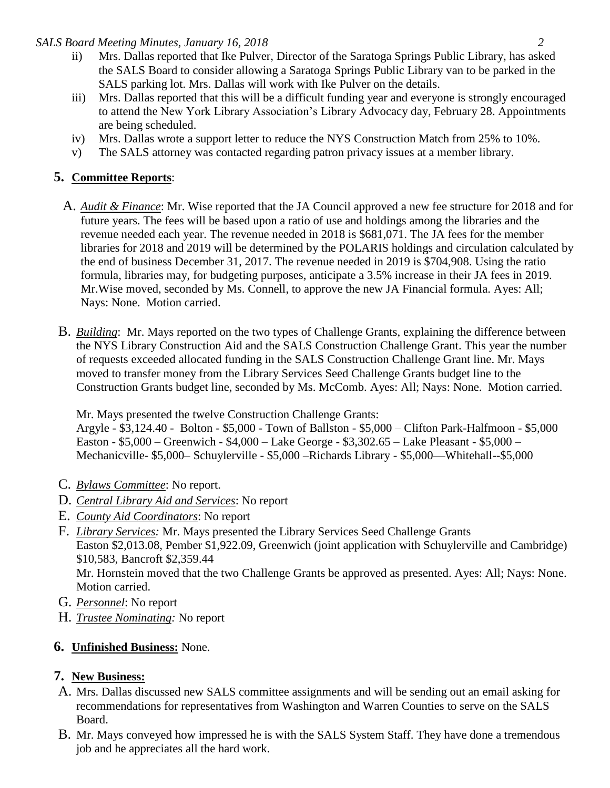#### *SALS Board Meeting Minutes, January 16, 2018 2*

- ii) Mrs. Dallas reported that Ike Pulver, Director of the Saratoga Springs Public Library, has asked the SALS Board to consider allowing a Saratoga Springs Public Library van to be parked in the SALS parking lot. Mrs. Dallas will work with Ike Pulver on the details.
- iii) Mrs. Dallas reported that this will be a difficult funding year and everyone is strongly encouraged to attend the New York Library Association's Library Advocacy day, February 28. Appointments are being scheduled.
- iv) Mrs. Dallas wrote a support letter to reduce the NYS Construction Match from 25% to 10%.
- v) The SALS attorney was contacted regarding patron privacy issues at a member library.

## **5. Committee Reports**:

- A. *Audit & Finance*: Mr. Wise reported that the JA Council approved a new fee structure for 2018 and for future years. The fees will be based upon a ratio of use and holdings among the libraries and the revenue needed each year. The revenue needed in 2018 is \$681,071. The JA fees for the member libraries for 2018 and 2019 will be determined by the POLARIS holdings and circulation calculated by the end of business December 31, 2017. The revenue needed in 2019 is \$704,908. Using the ratio formula, libraries may, for budgeting purposes, anticipate a 3.5% increase in their JA fees in 2019. Mr.Wise moved, seconded by Ms. Connell, to approve the new JA Financial formula. Ayes: All; Nays: None. Motion carried.
- B. *Building*: Mr. Mays reported on the two types of Challenge Grants, explaining the difference between the NYS Library Construction Aid and the SALS Construction Challenge Grant. This year the number of requests exceeded allocated funding in the SALS Construction Challenge Grant line. Mr. Mays moved to transfer money from the Library Services Seed Challenge Grants budget line to the Construction Grants budget line, seconded by Ms. McComb. Ayes: All; Nays: None. Motion carried.

Mr. Mays presented the twelve Construction Challenge Grants:

Argyle - \$3,124.40 - Bolton - \$5,000 - Town of Ballston - \$5,000 – Clifton Park-Halfmoon - \$5,000 Easton - \$5,000 – Greenwich - \$4,000 – Lake George - \$3,302.65 – Lake Pleasant - \$5,000 – Mechanicville- \$5,000– Schuylerville - \$5,000 –Richards Library - \$5,000—Whitehall--\$5,000

- C. *Bylaws Committee*: No report.
- D. *Central Library Aid and Services*: No report
- E. *County Aid Coordinators*: No report
- F. *Library Services:* Mr. Mays presented the Library Services Seed Challenge Grants Easton \$2,013.08, Pember \$1,922.09, Greenwich (joint application with Schuylerville and Cambridge) \$10,583, Bancroft \$2,359.44 Mr. Hornstein moved that the two Challenge Grants be approved as presented. Ayes: All; Nays: None. Motion carried.
- G. *Personnel*: No report
- H. *Trustee Nominating:* No report

## **6. Unfinished Business:** None.

## **7. New Business:**

- A. Mrs. Dallas discussed new SALS committee assignments and will be sending out an email asking for recommendations for representatives from Washington and Warren Counties to serve on the SALS Board.
- B. Mr. Mays conveyed how impressed he is with the SALS System Staff. They have done a tremendous job and he appreciates all the hard work.